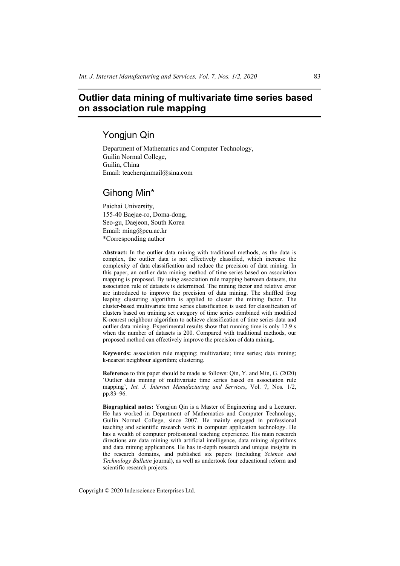# **Outlier data mining of multivariate time series based on association rule mapping**

## Yongjun Qin

Department of Mathematics and Computer Technology, Guilin Normal College, Guilin, China Email: teacherqinmail@sina.com

## Gihong Min\*

Paichai University, 155-40 Baejae-ro, Doma-dong, Seo-gu, Daejeon, South Korea Email: ming@pcu.ac.kr \*Corresponding author

**Abstract:** In the outlier data mining with traditional methods, as the data is complex, the outlier data is not effectively classified, which increase the complexity of data classification and reduce the precision of data mining. In this paper, an outlier data mining method of time series based on association mapping is proposed. By using association rule mapping between datasets, the association rule of datasets is determined. The mining factor and relative error are introduced to improve the precision of data mining. The shuffled frog leaping clustering algorithm is applied to cluster the mining factor. The cluster-based multivariate time series classification is used for classification of clusters based on training set category of time series combined with modified K-nearest neighbour algorithm to achieve classification of time series data and outlier data mining. Experimental results show that running time is only 12.9 s when the number of datasets is 200. Compared with traditional methods, our proposed method can effectively improve the precision of data mining.

**Keywords:** association rule mapping; multivariate; time series; data mining; k-nearest neighbour algorithm; clustering.

**Reference** to this paper should be made as follows: Qin, Y. and Min, G. (2020) 'Outlier data mining of multivariate time series based on association rule mapping', *Int. J. Internet Manufacturing and Services*, Vol. 7, Nos. 1/2, pp.83–96.

**Biographical notes:** Yongjun Qin is a Master of Engineering and a Lecturer. He has worked in Department of Mathematics and Computer Technology, Guilin Normal College, since 2007. He mainly engaged in professional teaching and scientific research work in computer application technology. He has a wealth of computer professional teaching experience. His main research directions are data mining with artificial intelligence, data mining algorithms and data mining applications. He has in-depth research and unique insights in the research domains, and published six papers (including *Science and Technology Bulletin* journal), as well as undertook four educational reform and scientific research projects.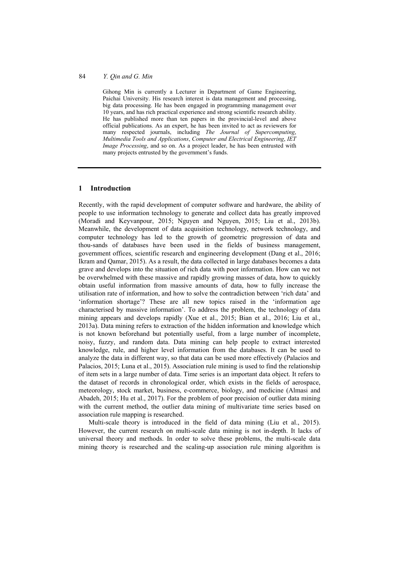#### 84 *Y. Qin and G. Min*

Gihong Min is currently a Lecturer in Department of Game Engineering, Paichai University. His research interest is data management and processing, big data processing. He has been engaged in programming management over 10 years, and has rich practical experience and strong scientific research ability. He has published more than ten papers in the provincial-level and above official publications. As an expert, he has been invited to act as reviewers for many respected journals, including *The Journal of Supercomputing*, *Multimedia Tools and Applications*, *Computer and Electrical Engineering*, *IET Image Processing*, and so on. As a project leader, he has been entrusted with many projects entrusted by the government's funds.

#### **1 Introduction**

Recently, with the rapid development of computer software and hardware, the ability of people to use information technology to generate and collect data has greatly improved (Moradi and Keyvanpour, 2015; Nguyen and Nguyen, 2015; Liu et al., 2013b). Meanwhile, the development of data acquisition technology, network technology, and computer technology has led to the growth of geometric progression of data and thou-sands of databases have been used in the fields of business management, government offices, scientific research and engineering development (Dang et al., 2016; Ikram and Qamar, 2015). As a result, the data collected in large databases becomes a data grave and develops into the situation of rich data with poor information. How can we not be overwhelmed with these massive and rapidly growing masses of data, how to quickly obtain useful information from massive amounts of data, how to fully increase the utilisation rate of information, and how to solve the contradiction between 'rich data' and 'information shortage'? These are all new topics raised in the 'information age characterised by massive information'. To address the problem, the technology of data mining appears and develops rapidly (Xue et al., 2015; Bian et al., 2016; Liu et al., 2013a). Data mining refers to extraction of the hidden information and knowledge which is not known beforehand but potentially useful, from a large number of incomplete, noisy, fuzzy, and random data. Data mining can help people to extract interested knowledge, rule, and higher level information from the databases. It can be used to analyze the data in different way, so that data can be used more effectively (Palacios and Palacios, 2015; Luna et al., 2015). Association rule mining is used to find the relationship of item sets in a large number of data. Time series is an important data object. It refers to the dataset of records in chronological order, which exists in the fields of aerospace, meteorology, stock market, business, e-commerce, biology, and medicine (Almasi and Abadeh, 2015; Hu et al., 2017). For the problem of poor precision of outlier data mining with the current method, the outlier data mining of multivariate time series based on association rule mapping is researched.

Multi-scale theory is introduced in the field of data mining (Liu et al., 2015). However, the current research on multi-scale data mining is not in-depth. It lacks of universal theory and methods. In order to solve these problems, the multi-scale data mining theory is researched and the scaling-up association rule mining algorithm is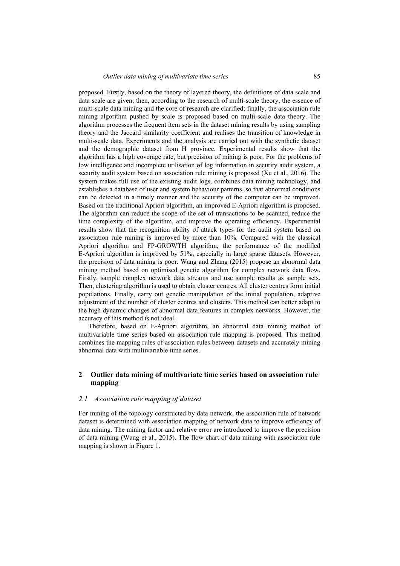proposed. Firstly, based on the theory of layered theory, the definitions of data scale and data scale are given; then, according to the research of multi-scale theory, the essence of multi-scale data mining and the core of research are clarified; finally, the association rule mining algorithm pushed by scale is proposed based on multi-scale data theory. The algorithm processes the frequent item sets in the dataset mining results by using sampling theory and the Jaccard similarity coefficient and realises the transition of knowledge in multi-scale data. Experiments and the analysis are carried out with the synthetic dataset and the demographic dataset from H province. Experimental results show that the algorithm has a high coverage rate, but precision of mining is poor. For the problems of low intelligence and incomplete utilisation of log information in security audit system, a security audit system based on association rule mining is proposed (Xu et al., 2016). The system makes full use of the existing audit logs, combines data mining technology, and establishes a database of user and system behaviour patterns, so that abnormal conditions can be detected in a timely manner and the security of the computer can be improved. Based on the traditional Apriori algorithm, an improved E-Apriori algorithm is proposed. The algorithm can reduce the scope of the set of transactions to be scanned, reduce the time complexity of the algorithm, and improve the operating efficiency. Experimental results show that the recognition ability of attack types for the audit system based on association rule mining is improved by more than 10%. Compared with the classical Apriori algorithm and FP-GROWTH algorithm, the performance of the modified E-Apriori algorithm is improved by 51%, especially in large sparse datasets. However, the precision of data mining is poor. Wang and Zhang (2015) propose an abnormal data mining method based on optimised genetic algorithm for complex network data flow. Firstly, sample complex network data streams and use sample results as sample sets. Then, clustering algorithm is used to obtain cluster centres. All cluster centres form initial populations. Finally, carry out genetic manipulation of the initial population, adaptive adjustment of the number of cluster centres and clusters. This method can better adapt to the high dynamic changes of abnormal data features in complex networks. However, the accuracy of this method is not ideal.

Therefore, based on E-Apriori algorithm, an abnormal data mining method of multivariable time series based on association rule mapping is proposed. This method combines the mapping rules of association rules between datasets and accurately mining abnormal data with multivariable time series.

## **2 Outlier data mining of multivariate time series based on association rule mapping**

#### *2.1 Association rule mapping of dataset*

For mining of the topology constructed by data network, the association rule of network dataset is determined with association mapping of network data to improve efficiency of data mining. The mining factor and relative error are introduced to improve the precision of data mining (Wang et al., 2015). The flow chart of data mining with association rule mapping is shown in Figure 1.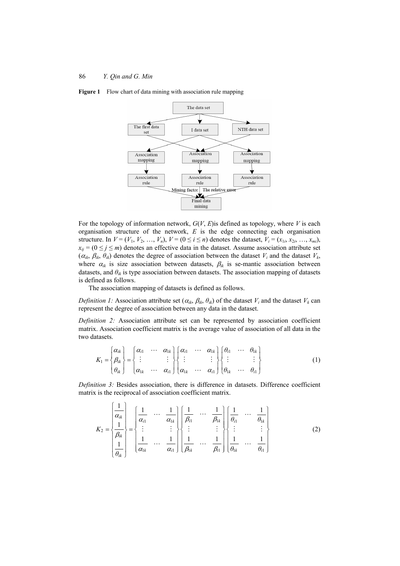

**Figure 1** Flow chart of data mining with association rule mapping

For the topology of information network,  $G(V, E)$  is defined as topology, where V is each organisation structure of the network, *E* is the edge connecting each organisation structure. In  $V = (V_1, V_2, ..., V_n), V = (0 \le i \le n)$  denotes the dataset,  $V_i = (x_{1i}, x_{2i}, ..., x_{mi})$ ,  $x_{ij} = (0 \le j \le m)$  denotes an effective data in the dataset. Assume association attribute set  $(\alpha_{ik}, \beta_{ik}, \theta_{ik})$  denotes the degree of association between the dataset *V<sub>i</sub>* and the dataset *V<sub>k</sub>*, where  $\alpha_{ik}$  is size association between datasets,  $\beta_{ik}$  is se-mantic association between datasets, and  $\theta_{ik}$  is type association between datasets. The association mapping of datasets is defined as follows.

The association mapping of datasets is defined as follows.

*Definition 1:* Association attribute set  $(\alpha_{ik}, \beta_{ik}, \theta_{ik})$  of the dataset  $V_i$  and the dataset  $V_k$  can represent the degree of association between any data in the dataset.

*Definition 2:* Association attribute set can be represented by association coefficient matrix. Association coefficient matrix is the average value of association of all data in the two datasets.

$$
K_1 = \begin{Bmatrix} \alpha_{ik} \\ \beta_{ik} \\ \theta_{ik} \end{Bmatrix} = \begin{Bmatrix} \alpha_{i1} & \cdots & \alpha_{1k} \\ \vdots & & \vdots \\ \alpha_{1k} & \cdots & \alpha_{i1} \end{Bmatrix} \begin{Bmatrix} \alpha_{i1} & \cdots & \alpha_{1k} \\ \vdots & & \vdots \\ \alpha_{1k} & \cdots & \alpha_{i1} \end{Bmatrix} \begin{Bmatrix} \theta_{i1} & \cdots & \theta_{1k} \\ \vdots & & \vdots \\ \theta_{1k} & \cdots & \theta_{i1} \end{Bmatrix}
$$
 (1)

*Definition 3:* Besides association, there is difference in datasets. Difference coefficient matrix is the reciprocal of association coefficient matrix.

$$
K_2 = \begin{cases} \frac{1}{\alpha_{ik}} \\ \frac{1}{\beta_{ik}} \\ \frac{1}{\theta_{ik}} \end{cases} = \begin{cases} \frac{1}{\alpha_{i1}} & \cdots & \frac{1}{\alpha_{1k}} \\ \vdots & \vdots \\ \frac{1}{\alpha_{1k}} & \cdots & \frac{1}{\alpha_{i1}} \end{cases} \begin{cases} \frac{1}{\beta_{i1}} & \cdots & \frac{1}{\beta_{1k}} \\ \vdots & \vdots \\ \frac{1}{\beta_{1k}} & \cdots & \frac{1}{\beta_{i1}} \end{cases} \begin{cases} \frac{1}{\theta_{i1}} & \cdots & \frac{1}{\theta_{1k}} \\ \vdots & \vdots \\ \frac{1}{\theta_{1k}} & \cdots & \frac{1}{\theta_{i1}} \end{cases} \begin{cases} \cdots & \frac{1}{\theta_{1k}} \\ \frac{1}{\theta_{1k}} & \cdots & \frac{1}{\theta_{1k}} \end{cases} \tag{2}
$$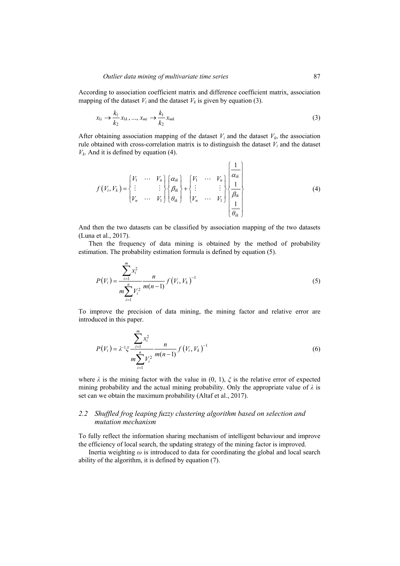According to association coefficient matrix and difference coefficient matrix, association mapping of the dataset  $V_i$  and the dataset  $V_k$  is given by equation (3).

$$
x_{1i} \to \frac{k_1}{k_2} x_{1k}, ..., x_{mi} \to \frac{k_1}{k_2} x_{mk}
$$
 (3)

After obtaining association mapping of the dataset  $V_i$  and the dataset  $V_k$ , the association rule obtained with cross-correlation matrix is to distinguish the dataset  $V_i$  and the dataset  $V_k$ . And it is defined by equation (4).

$$
f(V_i, V_k) = \begin{cases} V_1 & \cdots & V_n \\ \vdots & & \vdots \\ V_n & \cdots & V_1 \end{cases} \begin{cases} \alpha_{ik} \\ \beta_{ik} \end{cases} + \begin{cases} V_1 & \cdots & V_n \\ \vdots & & \vdots \\ V_n & \cdots & V_1 \end{cases} \begin{cases} \frac{1}{\alpha_{ik}} \\ \frac{1}{\beta_{ik}} \\ \frac{1}{\theta_{ik}} \end{cases} \tag{4}
$$

And then the two datasets can be classified by association mapping of the two datasets (Luna et al., 2017).

Then the frequency of data mining is obtained by the method of probability estimation. The probability estimation formula is defined by equation (5).

$$
P(V_i) = \frac{\sum_{i=1}^{m} x_i^2}{m \sum_{i=1}^{n} V_i^2} \frac{n}{m(n-1)} f(V_i, V_k)^{-1}
$$
\n(5)

To improve the precision of data mining, the mining factor and relative error are introduced in this paper.

$$
P(V_i) = \lambda^{-1} \xi \frac{\sum_{i=1}^{m} x_i^2}{m \sum_{i=1}^{n} V_i^2} \frac{n}{m(n-1)} f(V_i, V_k)^{-1}
$$
(6)

where  $\lambda$  is the mining factor with the value in (0, 1),  $\xi$  is the relative error of expected mining probability and the actual mining probability. Only the appropriate value of *λ* is set can we obtain the maximum probability (Altaf et al., 2017).

## *2.2 Shuffled frog leaping fuzzy clustering algorithm based on selection and mutation mechanism*

To fully reflect the information sharing mechanism of intelligent behaviour and improve the efficiency of local search, the updating strategy of the mining factor is improved.

Inertia weighting *ω* is introduced to data for coordinating the global and local search ability of the algorithm, it is defined by equation (7).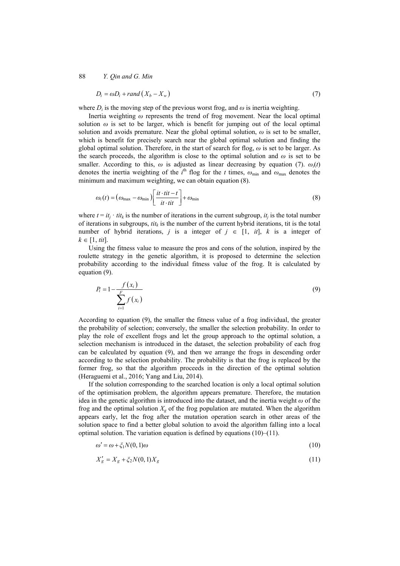$$
D_i = \omega D_i + rand(X_b - X_w) \tag{7}
$$

where  $D_i$  is the moving step of the previous worst frog, and  $\omega$  is inertia weighting.

Inertia weighting *ω* represents the trend of frog movement. Near the local optimal solution  $\omega$  is set to be larger, which is benefit for jumping out of the local optimal solution and avoids premature. Near the global optimal solution,  $\omega$  is set to be smaller, which is benefit for precisely search near the global optimal solution and finding the global optimal solution. Therefore, in the start of search for flog, *ω* is set to be larger. As the search proceeds, the algorithm is close to the optimal solution and  $\omega$  is set to be smaller. According to this,  $\omega$  is adjusted as linear decreasing by equation (7).  $\omega_i(t)$ denotes the inertia weighting of the  $i^{\text{th}}$  flog for the *t* times,  $\omega_{\text{min}}$  and  $\omega_{\text{max}}$  denotes the minimum and maximum weighting, we can obtain equation (8).

$$
\omega_i(t) = \left(\omega_{\text{max}} - \omega_{\text{min}}\right) \left[\frac{it \cdot tit - t}{it \cdot tit}\right] + \omega_{\text{min}} \tag{8}
$$

where  $t = i t_j \cdot t i t_k$  is the number of iterations in the current subgroup,  $i t_j$  is the total number of iterations in subgroups,  $t$ *it<sub>k</sub>* is the number of the current hybrid iterations, tit is the total number of hybrid iterations, *j* is a integer of  $j \in [1, it]$ , *k* is a integer of  $k \in [1, \text{tit}].$ 

Using the fitness value to measure the pros and cons of the solution, inspired by the roulette strategy in the genetic algorithm, it is proposed to determine the selection probability according to the individual fitness value of the frog. It is calculated by equation (9).

$$
P_i = 1 - \frac{f(x_i)}{\sum_{i=1}^{F} f(x_i)}
$$
(9)

According to equation (9), the smaller the fitness value of a frog individual, the greater the probability of selection; conversely, the smaller the selection probability. In order to play the role of excellent frogs and let the group approach to the optimal solution, a selection mechanism is introduced in the dataset, the selection probability of each frog can be calculated by equation (9), and then we arrange the frogs in descending order according to the selection probability. The probability is that the frog is replaced by the former frog, so that the algorithm proceeds in the direction of the optimal solution (Heraguemi et al., 2016; Yang and Liu, 2014).

If the solution corresponding to the searched location is only a local optimal solution of the optimisation problem, the algorithm appears premature. Therefore, the mutation idea in the genetic algorithm is introduced into the dataset, and the inertia weight *ω* of the frog and the optimal solution  $X_g$  of the frog population are mutated. When the algorithm appears early, let the frog after the mutation operation search in other areas of the solution space to find a better global solution to avoid the algorithm falling into a local optimal solution. The variation equation is defined by equations  $(10)$ – $(11)$ .

$$
\omega' = \omega + \xi_1 N(0, 1)\omega \tag{10}
$$

$$
X'_{g} = X_{g} + \xi_{2} N(0, 1) X_{g}
$$
\n(11)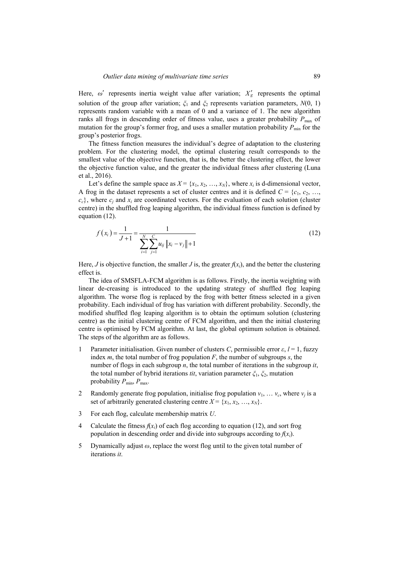Here,  $\omega'$  represents inertia weight value after variation;  $X_g'$  represents the optimal solution of the group after variation; *ξ*1 and *ξ*2 represents variation parameters, *N*(0, 1) represents random variable with a mean of 0 and a variance of 1. The new algorithm ranks all frogs in descending order of fitness value, uses a greater probability  $P_{\text{max}}$  of mutation for the group's former frog, and uses a smaller mutation probability  $P_{\text{min}}$  for the group's posterior frogs.

The fitness function measures the individual's degree of adaptation to the clustering problem. For the clustering model, the optimal clustering result corresponds to the smallest value of the objective function, that is, the better the clustering effect, the lower the objective function value, and the greater the individual fitness after clustering (Luna et al., 2016).

Let's define the sample space as  $X = \{x_1, x_2, ..., x_N\}$ , where  $x_i$  is d-dimensional vector, A frog in the dataset represents a set of cluster centres and it is defined  $C = \{c_1, c_2, ...,$  $c_c$ }, where  $c_i$  and  $x_i$  are coordinated vectors. For the evaluation of each solution (cluster centre) in the shuffled frog leaping algorithm, the individual fitness function is defined by equation (12).

$$
f(x_i) = \frac{1}{J+1} = \frac{1}{\sum_{i=1}^{N} \sum_{j=1}^{C} u_{ij} \|x_i - v_j\| + 1}
$$
 (12)

Here, *J* is objective function, the smaller *J* is, the greater  $f(x_i)$ , and the better the clustering effect is.

The idea of SMSFLA-FCM algorithm is as follows. Firstly, the inertia weighting with linear de-creasing is introduced to the updating strategy of shuffled flog leaping algorithm. The worse flog is replaced by the frog with better fitness selected in a given probability. Each individual of frog has variation with different probability. Secondly, the modified shuffled flog leaping algorithm is to obtain the optimum solution (clustering centre) as the initial clustering centre of FCM algorithm, and then the initial clustering centre is optimised by FCM algorithm. At last, the global optimum solution is obtained. The steps of the algorithm are as follows.

- 1 Parameter initialisation. Given number of clusters *C*, permissible error *ε*, *l* = 1, fuzzy index *m*, the total number of frog population *F*, the number of subgroups *s*, the number of flogs in each subgroup *n*, the total number of iterations in the subgroup *it*, the total number of hybrid iterations *tit*, variation parameter *ξ*1, *ξ*2, mutation probability  $P_{\text{min}}$ ,  $P_{\text{max}}$ .
- 2 Randomly generate frog population, initialise frog population  $v_1, \ldots, v_c$ , where  $v_i$  is a set of arbitrarily generated clustering centre  $X = \{x_1, x_2, ..., x_N\}.$
- 3 For each flog, calculate membership matrix *U*.
- 4 Calculate the fitness  $f(x_i)$  of each flog according to equation (12), and sort frog population in descending order and divide into subgroups according to  $f(x_i)$ .
- 5 Dynamically adjust *ω*, replace the worst flog until to the given total number of iterations *it*.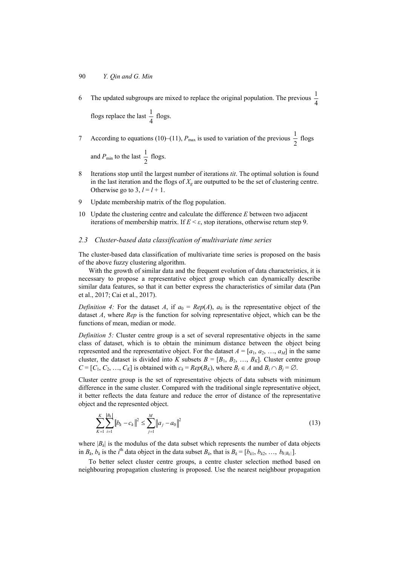- 6 The updated subgroups are mixed to replace the original population. The previous  $\frac{1}{4}$ flogs replace the last  $\frac{1}{4}$  flogs.
- 7 According to equations (10)–(11),  $P_{\text{max}}$  is used to variation of the previous  $\frac{1}{2}$  flogs and  $P_{\text{min}}$  to the last  $\frac{1}{2}$  flogs.
- 8 Iterations stop until the largest number of iterations *tit*. The optimal solution is found in the last iteration and the flogs of  $X_g$  are outputted to be the set of clustering centre. Otherwise go to 3,  $l = l + 1$ .
- 9 Update membership matrix of the flog population.
- 10 Update the clustering centre and calculate the difference *E* between two adjacent iterations of membership matrix. If  $E \leq \varepsilon$ , stop iterations, otherwise return step 9.

#### *2.3 Cluster-based data classification of multivariate time series*

The cluster-based data classification of multivariate time series is proposed on the basis of the above fuzzy clustering algorithm.

With the growth of similar data and the frequent evolution of data characteristics, it is necessary to propose a representative object group which can dynamically describe similar data features, so that it can better express the characteristics of similar data (Pan et al., 2017; Cai et al., 2017).

*Definition 4:* For the dataset *A*, if  $a_0 = Rep(A)$ ,  $a_0$  is the representative object of the dataset *A*, where *Rep* is the function for solving representative object, which can be the functions of mean, median or mode.

*Definition 5:* Cluster centre group is a set of several representative objects in the same class of dataset, which is to obtain the minimum distance between the object being represented and the representative object. For the dataset  $A = [a_1, a_2, ..., a_M]$  in the same cluster, the dataset is divided into *K* subsets  $B = [B_1, B_2, ..., B_K]$ . Cluster centre group  $C = [C_1, C_2, \ldots, C_K]$  is obtained with  $c_k = Rep(B_k)$ , where  $B_i \in A$  and  $B_i \cap B_j = \emptyset$ .

Cluster centre group is the set of representative objects of data subsets with minimum difference in the same cluster. Compared with the traditional single representative object, it better reflects the data feature and reduce the error of distance of the representative object and the represented object.

$$
\sum_{K=1}^{K} \sum_{i=1}^{|B_k|} \|b_k - c_k\|^2 \le \sum_{j=1}^{M} \|a_j - a_0\|^2 \tag{13}
$$

where  $|B_k|$  is the modulus of the data subset which represents the number of data objects in  $B_k$ ,  $b_k$  is the *i*<sup>th</sup> data object in the data subset  $B_k$ , that is  $B_k = [b_{k1}, b_{k2}, \ldots, b_{k|B_k]}].$ 

To better select cluster centre groups, a centre cluster selection method based on neighbouring propagation clustering is proposed. Use the nearest neighbour propagation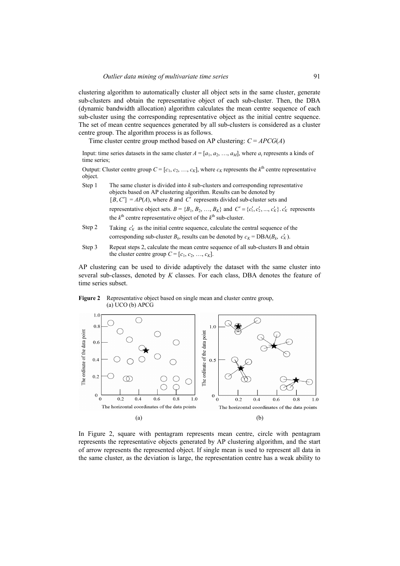clustering algorithm to automatically cluster all object sets in the same cluster, generate sub-clusters and obtain the representative object of each sub-cluster. Then, the DBA (dynamic bandwidth allocation) algorithm calculates the mean centre sequence of each sub-cluster using the corresponding representative object as the initial centre sequence. The set of mean centre sequences generated by all sub-clusters is considered as a cluster centre group. The algorithm process is as follows.

Time cluster centre group method based on AP clustering: *C* = *APCG*(*A*)

Input: time series datasets in the same cluster  $A = [a_1, a_2, ..., a_M]$ , where  $a_i$  represents a kinds of time series;

Output: Cluster centre group  $C = [c_1, c_2, ..., c_K]$ , where  $c_K$  represents the  $k^{\text{th}}$  centre representative object.

- Step 1 The same cluster is divided into *k* sub-clusters and corresponding representative objects based on AP clustering algorithm. Results can be denoted by  $[B, C'] = AP(A)$ , where *B* and *C'* represents divided sub-cluster sets and representative object sets.  $B = \{B_1, B_2, ..., B_K\}$  and  $C' = \{c'_1, c'_2, ..., c'_K\}$ .  $c'_K$  represents the  $k^{\text{th}}$  centre representative object of the  $k^{\text{th}}$  sub-cluster.
- Step 2 Taking  $c'_{K}$  as the initial centre sequence, calculate the central sequence of the corresponding sub-cluster  $B_k$ , results can be denoted by  $c_K = DBA(B_k, c'_K)$ .
- Step 3 Repeat steps 2, calculate the mean centre sequence of all sub-clusters B and obtain the cluster centre group  $C = [c_1, c_2, ..., c_K]$ .

AP clustering can be used to divide adaptively the dataset with the same cluster into several sub-classes, denoted by *K* classes. For each class, DBA denotes the feature of time series subset.

**Figure 2** Representative object based on single mean and cluster centre group, (a) UCO (b) APCG



In Figure 2, square with pentagram represents mean centre, circle with pentagram represents the representative objects generated by AP clustering algorithm, and the start of arrow represents the represented object. If single mean is used to represent all data in the same cluster, as the deviation is large, the representation centre has a weak ability to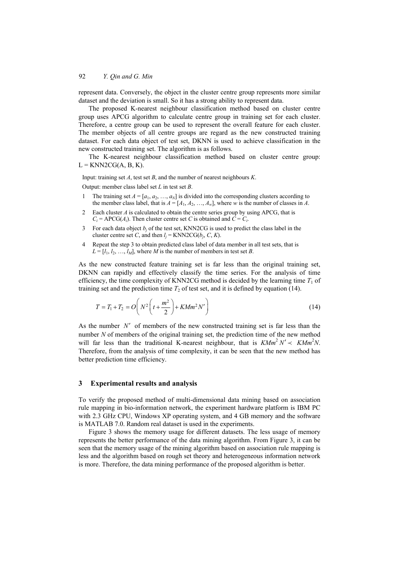represent data. Conversely, the object in the cluster centre group represents more similar dataset and the deviation is small. So it has a strong ability to represent data.

The proposed K-nearest neighbour classification method based on cluster centre group uses APCG algorithm to calculate centre group in training set for each cluster. Therefore, a centre group can be used to represent the overall feature for each cluster. The member objects of all centre groups are regard as the new constructed training dataset. For each data object of test set, DKNN is used to achieve classification in the new constructed training set. The algorithm is as follows.

The K-nearest neighbour classification method based on cluster centre group:  $L =$ KNN2CG(A, B, K).

Input: training set *A*, test set *B*, and the number of nearest neighbours *K*.

Output: member class label set *L* in test set *B*.

- The training set  $A = [a_1, a_2, ..., a_N]$  is divided into the corresponding clusters according to the member class label, that is  $A = [A_1, A_2, ..., A_w]$ , where *w* is the number of classes in *A*.
- 2 Each cluster *A* is calculated to obtain the centre series group by using APCG, that is  $C_i$  = APCG( $A_i$ ). Then cluster centre set *C* is obtained and  $C = C_i$ .
- 3 For each data object  $b_i$  of the test set, KNN2CG is used to predict the class label in the cluster centre set *C*, and then  $l_i =$  KNN2CG( $b_i$ , *C*, *K*).
- 4 Repeat the step 3 to obtain predicted class label of data member in all test sets, that is  $L = [l_1, l_2, ..., l_M]$ , where *M* is the number of members in test set *B*.

As the new constructed feature training set is far less than the original training set, DKNN can rapidly and effectively classify the time series. For the analysis of time efficiency, the time complexity of KNN2CG method is decided by the learning time  $T_1$  of training set and the prediction time  $T_2$  of test set, and it is defined by equation (14).

$$
T = T_1 + T_2 = O\left(N^2 \left(t + \frac{m^2}{2}\right) + KMm^2 N'\right)
$$
\n(14)

As the number  $N'$  of members of the new constructed training set is far less than the number *N* of members of the original training set, the prediction time of the new method will far less than the traditional K-nearest neighbour, that is  $K M m^2 N' \prec K M m^2 N$ . Therefore, from the analysis of time complexity, it can be seen that the new method has better prediction time efficiency.

#### **3 Experimental results and analysis**

To verify the proposed method of multi-dimensional data mining based on association rule mapping in bio-information network, the experiment hardware platform is IBM PC with 2.3 GHz CPU, Windows XP operating system, and 4 GB memory and the software is MATLAB 7.0. Random real dataset is used in the experiments.

Figure 3 shows the memory usage for different datasets. The less usage of memory represents the better performance of the data mining algorithm. From Figure 3, it can be seen that the memory usage of the mining algorithm based on association rule mapping is less and the algorithm based on rough set theory and heterogeneous information network is more. Therefore, the data mining performance of the proposed algorithm is better.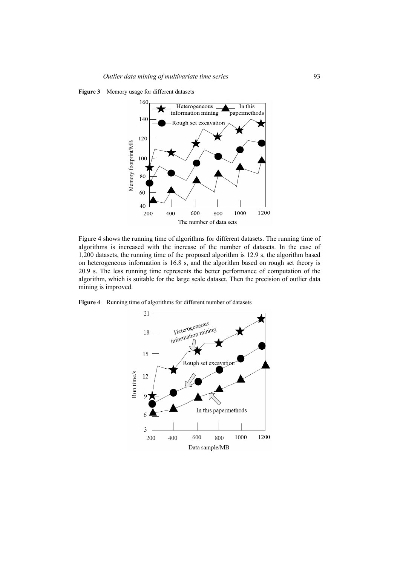



Figure 4 shows the running time of algorithms for different datasets. The running time of algorithms is increased with the increase of the number of datasets. In the case of 1,200 datasets, the running time of the proposed algorithm is 12.9 s, the algorithm based on heterogeneous information is 16.8 s, and the algorithm based on rough set theory is 20.9 s. The less running time represents the better performance of computation of the algorithm, which is suitable for the large scale dataset. Then the precision of outlier data mining is improved.

**Figure 4** Running time of algorithms for different number of datasets

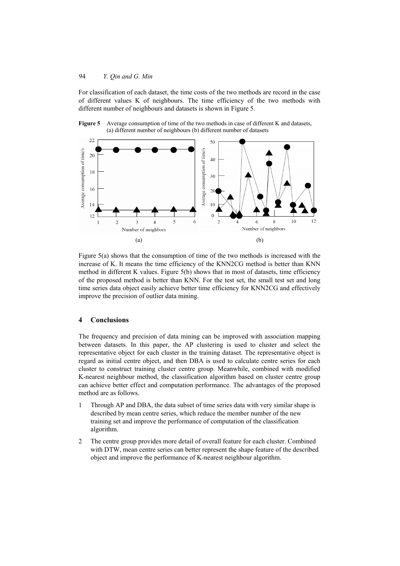For classification of each dataset, the time costs of the two methods are record in the case of different values K of neighbours. The time efficiency of the two methods with different number of neighbours and datasets is shown in Figure 5.





Figure 5(a) shows that the consumption of time of the two methods is increased with the increase of K. It means the time efficiency of the KNN2CG method is better than KNN method in different K values. Figure 5(b) shows that in most of datasets, time efficiency of the proposed method is better than KNN. For the test set, the small test set and long time series data object easily achieve better time efficiency for KNN2CG and effectively improve the precision of outlier data mining.

### **4 Conclusions**

The frequency and precision of data mining can be improved with association mapping between datasets. In this paper, the AP clustering is used to cluster and select the representative object for each cluster in the training dataset. The representative object is regard as initial centre object, and then DBA is used to calculate centre series for each cluster to construct training cluster centre group. Meanwhile, combined with modified K-nearest neighbour method, the classification algorithm based on cluster centre group can achieve better effect and computation performance. The advantages of the proposed method are as follows.

- 1 Through AP and DBA, the data subset of time series data with very similar shape is described by mean centre series, which reduce the member number of the new training set and improve the performance of computation of the classification algorithm.
- 2 The centre group provides more detail of overall feature for each cluster. Combined with DTW, mean centre series can better represent the shape feature of the described object and improve the performance of K-nearest neighbour algorithm.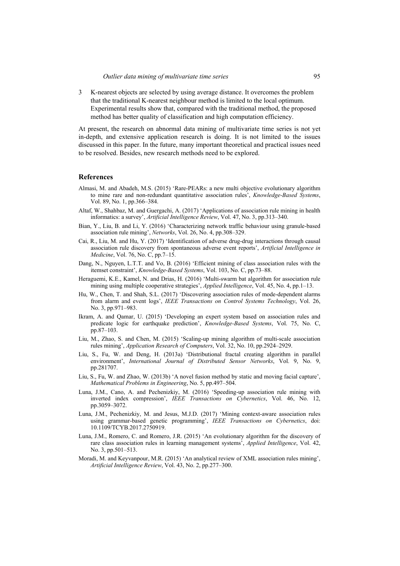3 K-nearest objects are selected by using average distance. It overcomes the problem that the traditional K-nearest neighbour method is limited to the local optimum. Experimental results show that, compared with the traditional method, the proposed method has better quality of classification and high computation efficiency.

At present, the research on abnormal data mining of multivariate time series is not yet in-depth, and extensive application research is doing. It is not limited to the issues discussed in this paper. In the future, many important theoretical and practical issues need to be resolved. Besides, new research methods need to be explored.

#### **References**

- Almasi, M. and Abadeh, M.S. (2015) 'Rare-PEARs: a new multi objective evolutionary algorithm to mine rare and non-redundant quantitative association rules', *Knowledge-Based Systems*, Vol. 89, No. 1, pp.366–384.
- Altaf, W., Shahbaz, M. and Guergachi, A. (2017) 'Applications of association rule mining in health informatics: a survey', *Artificial Intelligence Review*, Vol. 47, No. 3, pp.313–340.
- Bian, Y., Liu, B. and Li, Y. (2016) 'Characterizing network traffic behaviour using granule-based association rule mining', *Networks*, Vol. 26, No. 4, pp.308–329.
- Cai, R., Liu, M. and Hu, Y. (2017) 'Identification of adverse drug-drug interactions through causal association rule discovery from spontaneous adverse event reports', *Artificial Intelligence in Medicine*, Vol. 76, No. C, pp.7–15.
- Dang, N., Nguyen, L.T.T. and Vo, B. (2016) 'Efficient mining of class association rules with the itemset constraint', *Knowledge-Based Systems*, Vol. 103, No. C, pp.73–88.
- Heraguemi, K.E., Kamel, N. and Drias, H. (2016) 'Multi-swarm bat algorithm for association rule mining using multiple cooperative strategies', *Applied Intelligence*, Vol. 45, No. 4, pp.1–13.
- Hu, W., Chen, T. and Shah, S.L. (2017) 'Discovering association rules of mode-dependent alarms from alarm and event logs', *IEEE Transactions on Control Systems Technology*, Vol. 26, No. 3, pp.971–983.
- Ikram, A. and Qamar, U. (2015) 'Developing an expert system based on association rules and predicate logic for earthquake prediction', *Knowledge-Based Systems*, Vol. 75, No. C, pp.87–103.
- Liu, M., Zhao, S. and Chen, M. (2015) 'Scaling-up mining algorithm of multi-scale association rules mining', *Application Research of Computers*, Vol. 32, No. 10, pp.2924–2929.
- Liu, S., Fu, W. and Deng, H. (2013a) 'Distributional fractal creating algorithm in parallel environment', *International Journal of Distributed Sensor Networks*, Vol. 9, No. 9, pp.281707.
- Liu, S., Fu, W. and Zhao, W. (2013b) 'A novel fusion method by static and moving facial capture', *Mathematical Problems in Engineering*, No. 5, pp.497–504.
- Luna, J.M., Cano, A. and Pechenizkiy, M. (2016) 'Speeding-up association rule mining with inverted index compression', *IEEE Transactions on Cybernetics*, Vol. 46, No. 12, pp.3059–3072.
- Luna, J.M., Pechenizkiy, M. and Jesus, M.J.D. (2017) 'Mining context-aware association rules using grammar-based genetic programming', *IEEE Transactions on Cybernetics*, doi: 10.1109/TCYB.2017.2750919.
- Luna, J.M., Romero, C. and Romero, J.R. (2015) 'An evolutionary algorithm for the discovery of rare class association rules in learning management systems', *Applied Intelligence*, Vol. 42, No. 3, pp.501–513.
- Moradi, M. and Keyvanpour, M.R. (2015) 'An analytical review of XML association rules mining', *Artificial Intelligence Review*, Vol. 43, No. 2, pp.277–300.